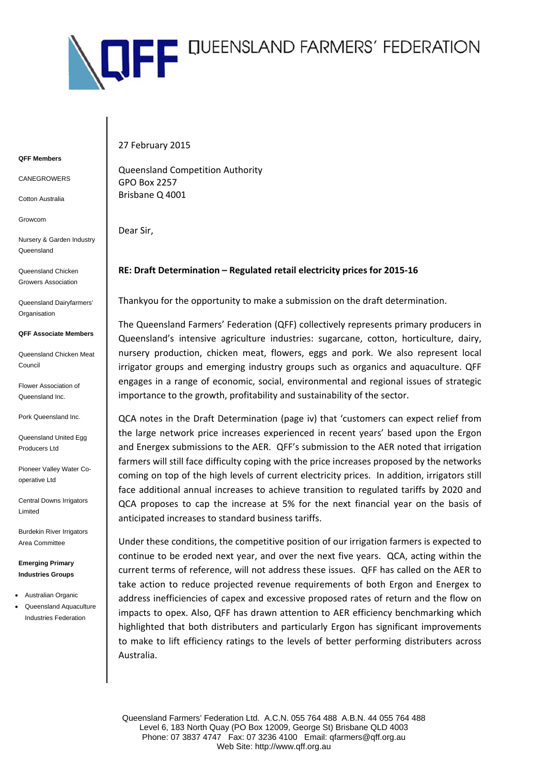

## **QFF Members**

CANEGROWERS

Cotton Australia

Growcom

Nursery & Garden Industry Queensland

Queensland Chicken Growers Association

Queensland Dairyfarmers' **Organisation** 

## **QFF Associate Members**

Queensland Chicken Meat Council

Flower Association of Queensland Inc.

Pork Queensland Inc.

Queensland United Egg Producers Ltd

Pioneer Valley Water Cooperative Ltd

Central Downs Irrigators Limited

Burdekin River Irrigators Area Committee

**Emerging Primary Industries Groups** 

- Australian Organic
- Queensland Aquaculture Industries Federation

27 February 2015

Queensland Competition Authority GPO Box 2257 Brisbane Q 4001

Dear Sir,

## **RE: Draft Determination – Regulated retail electricity prices for 2015‐16**

Thankyou for the opportunity to make a submission on the draft determination.

The Queensland Farmers' Federation (QFF) collectively represents primary producers in Queensland's intensive agriculture industries: sugarcane, cotton, horticulture, dairy, nursery production, chicken meat, flowers, eggs and pork. We also represent local irrigator groups and emerging industry groups such as organics and aquaculture. QFF engages in a range of economic, social, environmental and regional issues of strategic importance to the growth, profitability and sustainability of the sector.

QCA notes in the Draft Determination (page iv) that 'customers can expect relief from the large network price increases experienced in recent years' based upon the Ergon and Energex submissions to the AER. QFF's submission to the AER noted that irrigation farmers will still face difficulty coping with the price increases proposed by the networks coming on top of the high levels of current electricity prices. In addition, irrigators still face additional annual increases to achieve transition to regulated tariffs by 2020 and QCA proposes to cap the increase at 5% for the next financial year on the basis of anticipated increases to standard business tariffs.

Under these conditions, the competitive position of our irrigation farmers is expected to continue to be eroded next year, and over the next five years. QCA, acting within the current terms of reference, will not address these issues. QFF has called on the AER to take action to reduce projected revenue requirements of both Ergon and Energex to address inefficiencies of capex and excessive proposed rates of return and the flow on impacts to opex. Also, QFF has drawn attention to AER efficiency benchmarking which highlighted that both distributers and particularly Ergon has significant improvements to make to lift efficiency ratings to the levels of better performing distributers across Australia.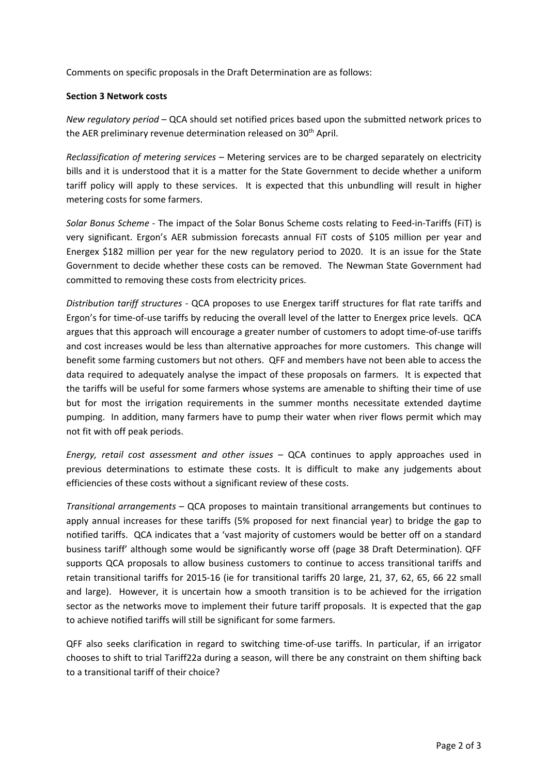Comments on specific proposals in the Draft Determination are as follows:

## **Section 3 Network costs**

*New regulatory period* – QCA should set notified prices based upon the submitted network prices to the AER preliminary revenue determination released on  $30<sup>th</sup>$  April.

*Reclassification of metering services* – Metering services are to be charged separately on electricity bills and it is understood that it is a matter for the State Government to decide whether a uniform tariff policy will apply to these services. It is expected that this unbundling will result in higher metering costs for some farmers.

*Solar Bonus Scheme* ‐ The impact of the Solar Bonus Scheme costs relating to Feed‐in‐Tariffs (FiT) is very significant. Ergon's AER submission forecasts annual FiT costs of \$105 million per year and Energex \$182 million per year for the new regulatory period to 2020. It is an issue for the State Government to decide whether these costs can be removed. The Newman State Government had committed to removing these costs from electricity prices.

*Distribution tariff structures* ‐ QCA proposes to use Energex tariff structures for flat rate tariffs and Ergon's for time‐of‐use tariffs by reducing the overall level of the latter to Energex price levels. QCA argues that this approach will encourage a greater number of customers to adopt time‐of‐use tariffs and cost increases would be less than alternative approaches for more customers. This change will benefit some farming customers but not others. QFF and members have not been able to access the data required to adequately analyse the impact of these proposals on farmers. It is expected that the tariffs will be useful for some farmers whose systems are amenable to shifting their time of use but for most the irrigation requirements in the summer months necessitate extended daytime pumping. In addition, many farmers have to pump their water when river flows permit which may not fit with off peak periods.

*Energy, retail cost assessment and other issues* – QCA continues to apply approaches used in previous determinations to estimate these costs. It is difficult to make any judgements about efficiencies of these costs without a significant review of these costs.

*Transitional arrangements* – QCA proposes to maintain transitional arrangements but continues to apply annual increases for these tariffs (5% proposed for next financial year) to bridge the gap to notified tariffs. QCA indicates that a 'vast majority of customers would be better off on a standard business tariff' although some would be significantly worse off (page 38 Draft Determination). QFF supports QCA proposals to allow business customers to continue to access transitional tariffs and retain transitional tariffs for 2015‐16 (ie for transitional tariffs 20 large, 21, 37, 62, 65, 66 22 small and large). However, it is uncertain how a smooth transition is to be achieved for the irrigation sector as the networks move to implement their future tariff proposals. It is expected that the gap to achieve notified tariffs will still be significant for some farmers.

QFF also seeks clarification in regard to switching time‐of‐use tariffs. In particular, if an irrigator chooses to shift to trial Tariff22a during a season, will there be any constraint on them shifting back to a transitional tariff of their choice?